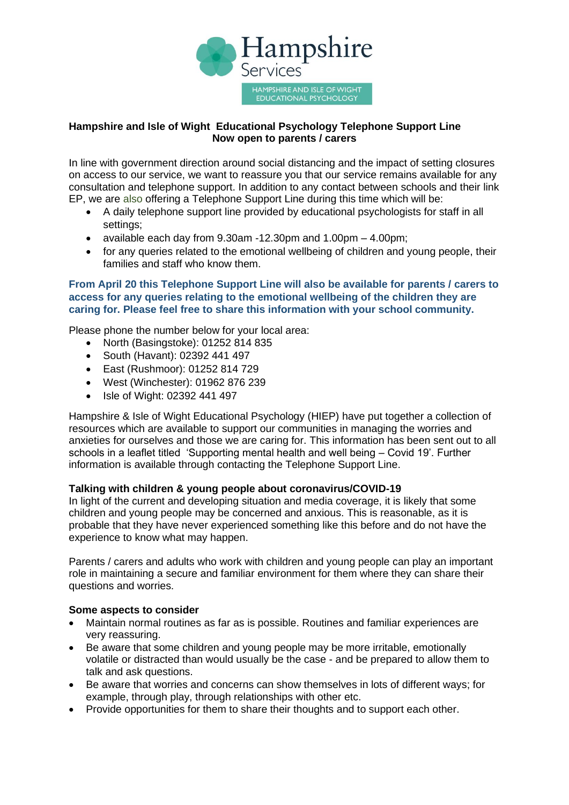

## **Hampshire and Isle of Wight Educational Psychology Telephone Support Line Now open to parents / carers**

In line with government direction around social distancing and the impact of setting closures on access to our service, we want to reassure you that our service remains available for any consultation and telephone support. In addition to any contact between schools and their link EP, we are also offering a Telephone Support Line during this time which will be:

- A daily telephone support line provided by educational psychologists for staff in all settings:
- available each day from 9.30am -12.30pm and 1.00pm 4.00pm;
- for any queries related to the emotional wellbeing of children and young people, their families and staff who know them.

### **From April 20 this Telephone Support Line will also be available for parents / carers to access for any queries relating to the emotional wellbeing of the children they are caring for. Please feel free to share this information with your school community.**

Please phone the number below for your local area:

- North (Basingstoke): 01252 814 835
- South (Havant): 02392 441 497
- East (Rushmoor): 01252 814 729
- West (Winchester): 01962 876 239
- Isle of Wight: 02392 441 497

Hampshire & Isle of Wight Educational Psychology (HIEP) have put together a collection of resources which are available to support our communities in managing the worries and anxieties for ourselves and those we are caring for. This information has been sent out to all schools in a leaflet titled 'Supporting mental health and well being – Covid 19'. Further information is available through contacting the Telephone Support Line.

#### **Talking with children & young people about coronavirus/COVID-19**

In light of the current and developing situation and media coverage, it is likely that some children and young people may be concerned and anxious. This is reasonable, as it is probable that they have never experienced something like this before and do not have the experience to know what may happen.

Parents / carers and adults who work with children and young people can play an important role in maintaining a secure and familiar environment for them where they can share their questions and worries.

#### **Some aspects to consider**

- Maintain normal routines as far as is possible. Routines and familiar experiences are very reassuring.
- Be aware that some children and young people may be more irritable, emotionally volatile or distracted than would usually be the case - and be prepared to allow them to talk and ask questions.
- Be aware that worries and concerns can show themselves in lots of different ways; for example, through play, through relationships with other etc.
- Provide opportunities for them to share their thoughts and to support each other.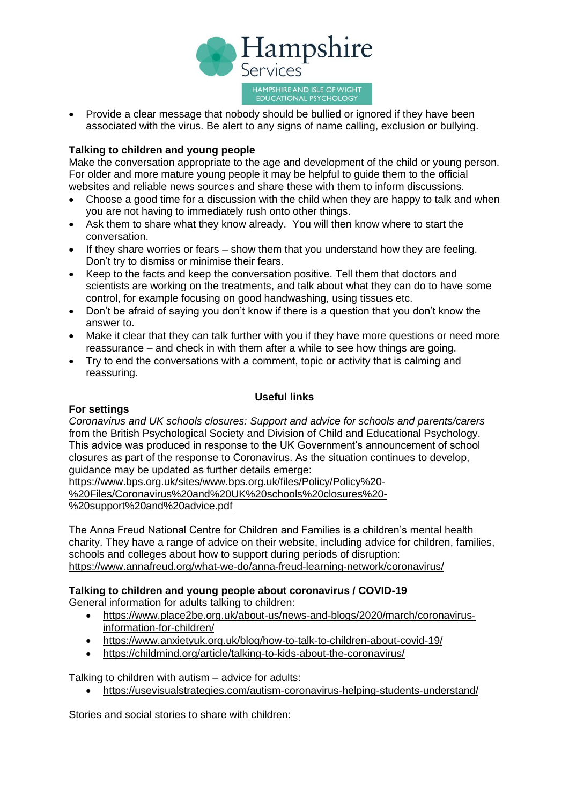

• Provide a clear message that nobody should be bullied or ignored if they have been associated with the virus. Be alert to any signs of name calling, exclusion or bullying.

#### **Talking to children and young people**

Make the conversation appropriate to the age and development of the child or young person. For older and more mature young people it may be helpful to guide them to the official websites and reliable news sources and share these with them to inform discussions.

- Choose a good time for a discussion with the child when they are happy to talk and when you are not having to immediately rush onto other things.
- Ask them to share what they know already. You will then know where to start the conversation.
- If they share worries or fears show them that you understand how they are feeling. Don't try to dismiss or minimise their fears.
- Keep to the facts and keep the conversation positive. Tell them that doctors and scientists are working on the treatments, and talk about what they can do to have some control, for example focusing on good handwashing, using tissues etc.
- Don't be afraid of saying you don't know if there is a question that you don't know the answer to.
- Make it clear that they can talk further with you if they have more questions or need more reassurance – and check in with them after a while to see how things are going.
- Try to end the conversations with a comment, topic or activity that is calming and reassuring.

## **Useful links**

#### **For settings**

*Coronavirus and UK schools closures: Support and advice for schools and parents/carers* from the British Psychological Society and Division of Child and Educational Psychology. This advice was produced in response to the UK Government's announcement of school closures as part of the response to Coronavirus. As the situation continues to develop, guidance may be updated as further details emerge:

[https://www.bps.org.uk/sites/www.bps.org.uk/files/Policy/Policy%20-](https://www.bps.org.uk/sites/www.bps.org.uk/files/Policy/Policy%20-%20Files/Coronavirus%20and%20UK%20schools%20closures%20-%20support%20and%20advice.pdf) [%20Files/Coronavirus%20and%20UK%20schools%20closures%20-](https://www.bps.org.uk/sites/www.bps.org.uk/files/Policy/Policy%20-%20Files/Coronavirus%20and%20UK%20schools%20closures%20-%20support%20and%20advice.pdf) [%20support%20and%20advice.pdf](https://www.bps.org.uk/sites/www.bps.org.uk/files/Policy/Policy%20-%20Files/Coronavirus%20and%20UK%20schools%20closures%20-%20support%20and%20advice.pdf)

The Anna Freud National Centre for Children and Families is a children's mental health charity. They have a range of advice on their website, including advice for children, families, schools and colleges about how to support during periods of disruption: <https://www.annafreud.org/what-we-do/anna-freud-learning-network/coronavirus/>

#### **Talking to children and young people about coronavirus / COVID-19**

General information for adults talking to children:

- [https://www.place2be.org.uk/about-us/news-and-blogs/2020/march/coronavirus](https://www.place2be.org.uk/about-us/news-and-blogs/2020/march/coronavirus-information-for-children/)[information-for-children/](https://www.place2be.org.uk/about-us/news-and-blogs/2020/march/coronavirus-information-for-children/)
- <https://www.anxietyuk.org.uk/blog/how-to-talk-to-children-about-covid-19/>
- <https://childmind.org/article/talking-to-kids-about-the-coronavirus/>

Talking to children with autism – advice for adults:

• <https://usevisualstrategies.com/autism-coronavirus-helping-students-understand/>

Stories and social stories to share with children: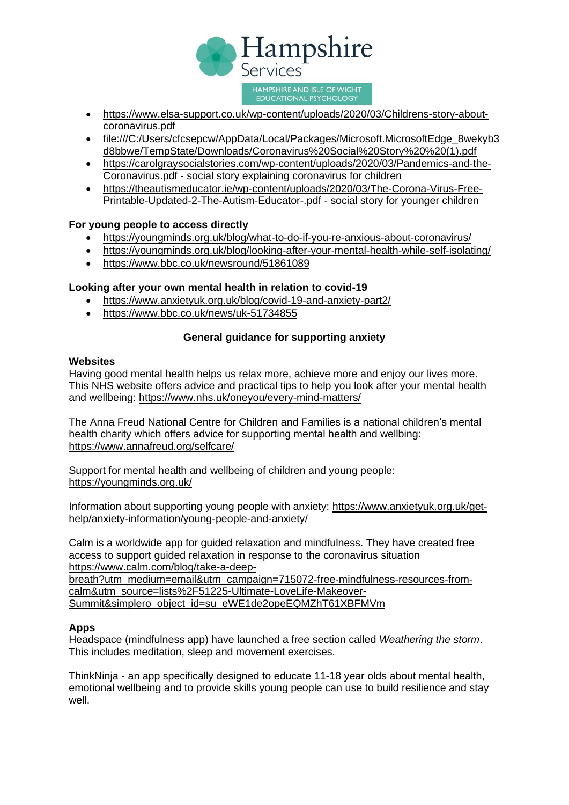

- https://www.elsa-support.co.uk/wp-content/uploads/2020/03/Childrens-story-aboutcoronavirus.pdf
- [file:///C:/Users/cfcsepcw/AppData/Local/Packages/Microsoft.MicrosoftEdge\\_8wekyb3](file:///C:/Users/cfcsepcw/AppData/Local/Packages/Microsoft.MicrosoftEdge_8wekyb3d8bbwe/TempState/Downloads/Coronavirus%20Social%20Story%20%20(1).pdf) [d8bbwe/TempState/Downloads/Coronavirus%20Social%20Story%20%20\(1\).pdf](file:///C:/Users/cfcsepcw/AppData/Local/Packages/Microsoft.MicrosoftEdge_8wekyb3d8bbwe/TempState/Downloads/Coronavirus%20Social%20Story%20%20(1).pdf)
- [https://carolgraysocialstories.com/wp-content/uploads/2020/03/Pandemics-and-the-](https://carolgraysocialstories.com/wp-content/uploads/2020/03/Pandemics-and-the-Coronavirus.pdf)[Coronavirus.pdf](https://carolgraysocialstories.com/wp-content/uploads/2020/03/Pandemics-and-the-Coronavirus.pdf) - social story explaining coronavirus for children
- [https://theautismeducator.ie/wp-content/uploads/2020/03/The-Corona-Virus-Free-](https://theautismeducator.ie/wp-content/uploads/2020/03/The-Corona-Virus-Free-Printable-Updated-2-The-Autism-Educator-.pdf)[Printable-Updated-2-The-Autism-Educator-.pdf](https://theautismeducator.ie/wp-content/uploads/2020/03/The-Corona-Virus-Free-Printable-Updated-2-The-Autism-Educator-.pdf) - social story for younger children

#### **For young people to access directly**

- <https://youngminds.org.uk/blog/what-to-do-if-you-re-anxious-about-coronavirus/>
- <https://youngminds.org.uk/blog/looking-after-your-mental-health-while-self-isolating/>
- https://www.bbc.co.uk/newsround/51861089

#### **Looking after your own mental health in relation to covid-19**

- https://www.anxietyuk.org.uk/blog/covid-19-and-anxiety-part2/
- <https://www.bbc.co.uk/news/uk-51734855>

# **General guidance for supporting anxiety**

#### **Websites**

Having good mental health helps us relax more, achieve more and enjoy our lives more. This NHS website offers advice and practical tips to help you look after your mental health and wellbeing: <https://www.nhs.uk/oneyou/every-mind-matters/>

The Anna Freud National Centre for Children and Families is a national children's mental health charity which offers advice for supporting mental health and wellbing: <https://www.annafreud.org/selfcare/>

Support for mental health and wellbeing of children and young people: <https://youngminds.org.uk/>

Information about supporting young people with anxiety: [https://www.anxietyuk.org.uk/get](https://www.anxietyuk.org.uk/get-help/anxiety-information/young-people-and-anxiety/)[help/anxiety-information/young-people-and-anxiety/](https://www.anxietyuk.org.uk/get-help/anxiety-information/young-people-and-anxiety/)

Calm is a worldwide app for guided relaxation and mindfulness. They have created free access to support guided relaxation in response to the coronavirus situation [https://www.calm.com/blog/take-a-deep-](https://www.calm.com/blog/take-a-deep-breath?utm_medium=email&utm_campaign=715072-free-mindfulness-resources-from-calm&utm_source=lists%2F51225-Ultimate-LoveLife-Makeover-Summit&simplero_object_id=su_eWE1de2opeEQMZhT61XBFMVm)

[breath?utm\\_medium=email&utm\\_campaign=715072-free-mindfulness-resources-from](https://www.calm.com/blog/take-a-deep-breath?utm_medium=email&utm_campaign=715072-free-mindfulness-resources-from-calm&utm_source=lists%2F51225-Ultimate-LoveLife-Makeover-Summit&simplero_object_id=su_eWE1de2opeEQMZhT61XBFMVm)[calm&utm\\_source=lists%2F51225-Ultimate-LoveLife-Makeover-](https://www.calm.com/blog/take-a-deep-breath?utm_medium=email&utm_campaign=715072-free-mindfulness-resources-from-calm&utm_source=lists%2F51225-Ultimate-LoveLife-Makeover-Summit&simplero_object_id=su_eWE1de2opeEQMZhT61XBFMVm)[Summit&simplero\\_object\\_id=su\\_eWE1de2opeEQMZhT61XBFMVm](https://www.calm.com/blog/take-a-deep-breath?utm_medium=email&utm_campaign=715072-free-mindfulness-resources-from-calm&utm_source=lists%2F51225-Ultimate-LoveLife-Makeover-Summit&simplero_object_id=su_eWE1de2opeEQMZhT61XBFMVm)

#### **Apps**

Headspace (mindfulness app) have launched a free section called *Weathering the storm*. This includes meditation, sleep and movement exercises.

ThinkNinja - an app specifically designed to educate 11-18 year olds about mental health, emotional wellbeing and to provide skills young people can use to build resilience and stay well.